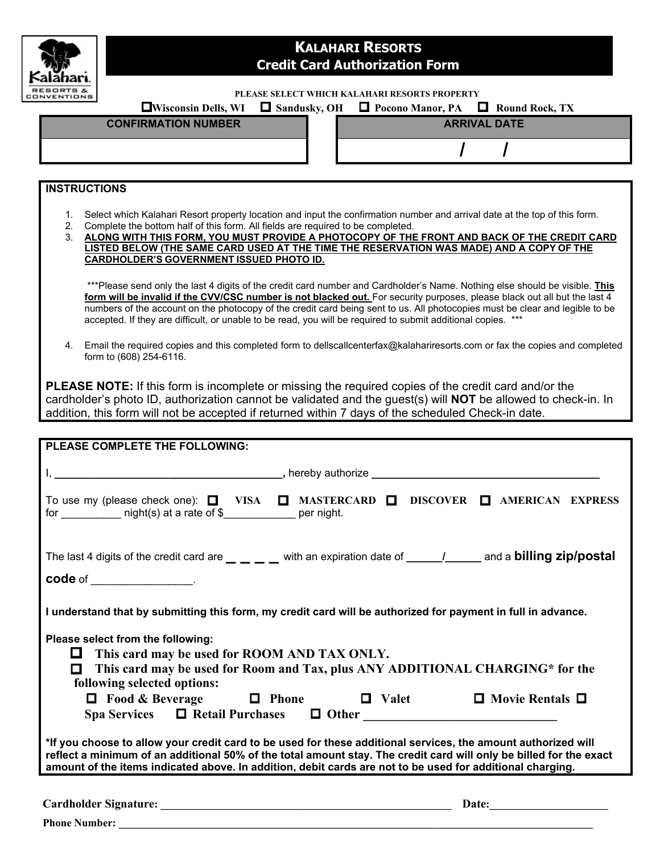

## **KALAHARI RESORTS Credit Card Authorization Form**

**PLEASE SELECT WHICH KALAHARI RESORTS PROPERTY** 

|                            | <b>EXECUTE:</b> EVI Sandusky, OH <b>EXECUTE:</b> Pocono Manor, PA <b>EXECUTE:</b> Round Rock, TX |
|----------------------------|--------------------------------------------------------------------------------------------------|
| <b>CONFIRMATION NUMBER</b> | <b>ARRIVAL DATE</b>                                                                              |
|                            |                                                                                                  |
|                            |                                                                                                  |
|                            |                                                                                                  |
|                            |                                                                                                  |
|                            |                                                                                                  |

## **INSTRUCTIONS**

- 1. Select which Kalahari Resort property location and input the confirmation number and arrival date at the top of this form.
- 2. Complete the bottom half of this form. All fields are required to be completed.
- 3. **ALONG WITH THIS FORM, YOU MUST PROVIDE A PHOTOCOPY OF THE FRONT AND BACK OF THE CREDIT CARD LISTED BELOW (THE SAME CARD USED AT THE TIME THE RESERVATION WAS MADE) AND A COPY OF THE CARDHOLDER'S GOVERNMENT ISSUED PHOTO ID.**

\*\*\*Please send only the last 4 digits of the credit card number and Cardholder's Name. Nothing else should be visible. **This** form will be invalid if the CVV/CSC number is not blacked out. For security purposes, please black out all but the last 4 numbers of the account on the photocopy of the credit card being sent to us. All photocopies must be clear and legible to be accepted. If they are difficult, or unable to be read, you will be required to submit additional copies. \*\*\*

4. Email the required copies and this completed form to dellscallcenterfax@kalahariresorts.com or fax the copies and completed form to (608) 254-6116.

**PLEASE NOTE:** If this form is incomplete or missing the required copies of the credit card and/or the cardholder's photo ID, authorization cannot be validated and the guest(s) will **NOT** be allowed to check-in. In addition, this form will not be accepted if returned within 7 days of the scheduled Check-in date.

| PLEASE COMPLETE THE FOLLOWING:                                                                                                                                                                                                                                                                                                                                                       |  |  |  |  |
|--------------------------------------------------------------------------------------------------------------------------------------------------------------------------------------------------------------------------------------------------------------------------------------------------------------------------------------------------------------------------------------|--|--|--|--|
|                                                                                                                                                                                                                                                                                                                                                                                      |  |  |  |  |
| To use my (please check one): □ VISA □ MASTERCARD □ DISCOVER □ AMERICAN EXPRESS<br>for ____________ night(s) at a rate of \$____________ per night.                                                                                                                                                                                                                                  |  |  |  |  |
| The last 4 digits of the credit card are $\_\_$ $\_\_$ with an expiration date of $\_\_$                                                                                                                                                                                                                                                                                             |  |  |  |  |
| code of ___________________.                                                                                                                                                                                                                                                                                                                                                         |  |  |  |  |
| I understand that by submitting this form, my credit card will be authorized for payment in full in advance.<br>Please select from the following:<br>This card may be used for ROOM AND TAX ONLY.<br>n a<br>This card may be used for Room and Tax, plus ANY ADDITIONAL CHARGING* for the<br>п<br>following selected options:<br>□ Food & Beverage □ Phone □ Valet □ Movie Rentals □ |  |  |  |  |
|                                                                                                                                                                                                                                                                                                                                                                                      |  |  |  |  |
| *If you choose to allow your credit card to be used for these additional services, the amount authorized will<br>reflect a minimum of an additional 50% of the total amount stay. The credit card will only be billed for the exact<br>amount of the items indicated above. In addition, debit cards are not to be used for additional charging.                                     |  |  |  |  |
| Date: and the contract of the contract of the contract of the contract of the contract of the contract of the contract of the contract of the contract of the contract of the contract of the contract of the contract of the                                                                                                                                                        |  |  |  |  |
| <b>Phone Number:</b>                                                                                                                                                                                                                                                                                                                                                                 |  |  |  |  |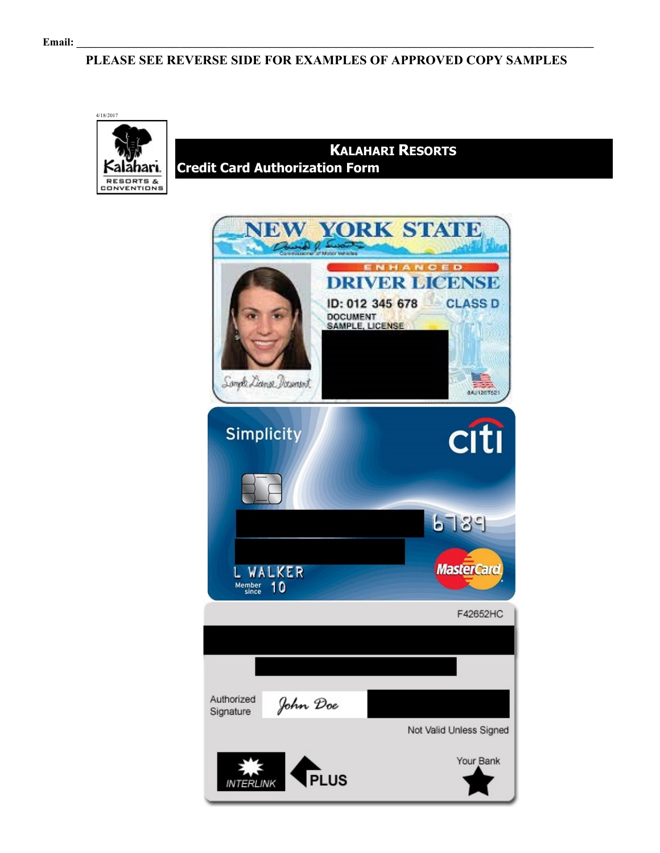## **PLEASE SEE REVERSE SIDE FOR EXAMPLES OF APPROVED COPY SAMPLES**